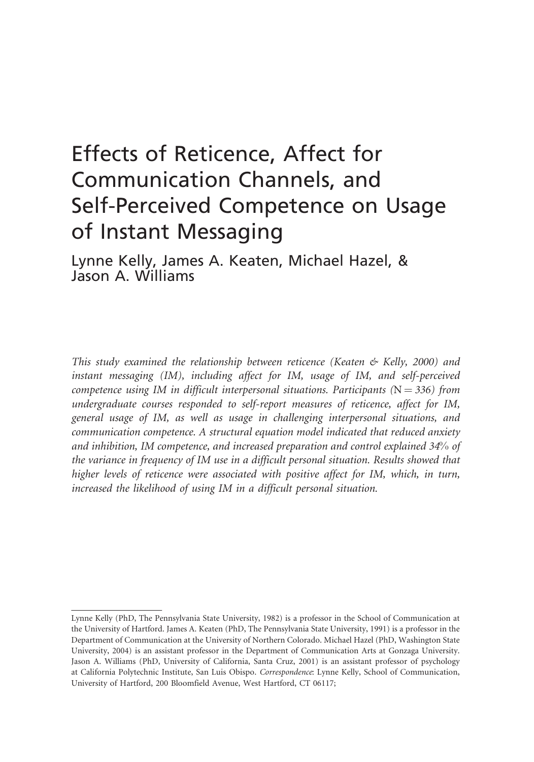# Effects of Reticence, Affect for Communication Channels, and Self-Perceived Competence on Usage of Instant Messaging

Lynne Kelly, James A. Keaten, Michael Hazel, & Jason A. Williams

This study examined the relationship between reticence (Keaten  $\&$  Kelly, 2000) and instant messaging (IM), including affect for IM, usage of IM, and self-perceived competence using IM in difficult interpersonal situations. Participants ( $N = 336$ ) from undergraduate courses responded to self-report measures of reticence, affect for IM, general usage of IM, as well as usage in challenging interpersonal situations, and communication competence. A structural equation model indicated that reduced anxiety and inhibition, IM competence, and increased preparation and control explained 34% of the variance in frequency of IM use in a difficult personal situation. Results showed that higher levels of reticence were associated with positive affect for IM, which, in turn, increased the likelihood of using IM in a difficult personal situation.

Lynne Kelly (PhD, The Pennsylvania State University, 1982) is a professor in the School of Communication at the University of Hartford. James A. Keaten (PhD, The Pennsylvania State University, 1991) is a professor in the Department of Communication at the University of Northern Colorado. Michael Hazel (PhD, Washington State University, 2004) is an assistant professor in the Department of Communication Arts at Gonzaga University. Jason A. Williams (PhD, University of California, Santa Cruz, 2001) is an assistant professor of psychology at California Polytechnic Institute, San Luis Obispo. Correspondence: Lynne Kelly, School of Communication, University of Hartford, 200 Bloomfield Avenue, West Hartford, CT 06117;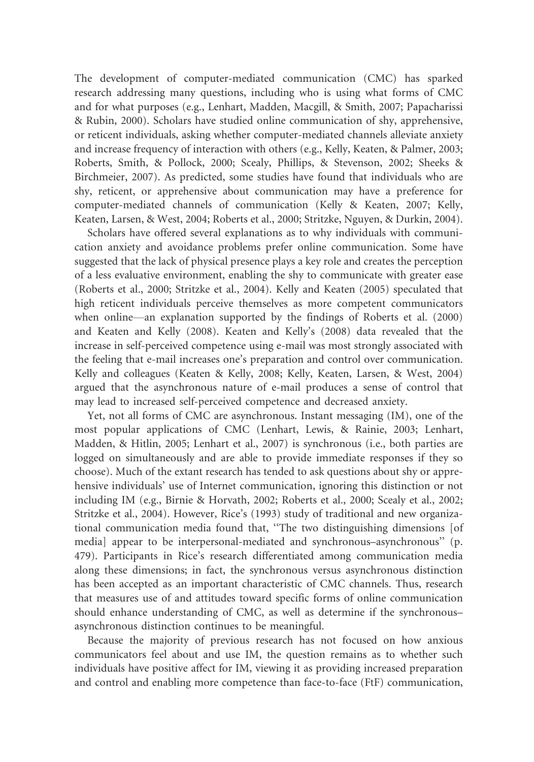The development of computer-mediated communication (CMC) has sparked research addressing many questions, including who is using what forms of CMC and for what purposes (e.g., Lenhart, Madden, Macgill, & Smith, 2007; Papacharissi & Rubin, 2000). Scholars have studied online communication of shy, apprehensive, or reticent individuals, asking whether computer-mediated channels alleviate anxiety and increase frequency of interaction with others (e.g., Kelly, Keaten, & Palmer, 2003; Roberts, Smith, & Pollock, 2000; Scealy, Phillips, & Stevenson, 2002; Sheeks & Birchmeier, 2007). As predicted, some studies have found that individuals who are shy, reticent, or apprehensive about communication may have a preference for computer-mediated channels of communication (Kelly & Keaten, 2007; Kelly, Keaten, Larsen, & West, 2004; Roberts et al., 2000; Stritzke, Nguyen, & Durkin, 2004).

Scholars have offered several explanations as to why individuals with communication anxiety and avoidance problems prefer online communication. Some have suggested that the lack of physical presence plays a key role and creates the perception of a less evaluative environment, enabling the shy to communicate with greater ease (Roberts et al., 2000; Stritzke et al., 2004). Kelly and Keaten (2005) speculated that high reticent individuals perceive themselves as more competent communicators when online—an explanation supported by the findings of Roberts et al. (2000) and Keaten and Kelly (2008). Keaten and Kelly's (2008) data revealed that the increase in self-perceived competence using e-mail was most strongly associated with the feeling that e-mail increases one's preparation and control over communication. Kelly and colleagues (Keaten & Kelly, 2008; Kelly, Keaten, Larsen, & West, 2004) argued that the asynchronous nature of e-mail produces a sense of control that may lead to increased self-perceived competence and decreased anxiety.

Yet, not all forms of CMC are asynchronous. Instant messaging (IM), one of the most popular applications of CMC (Lenhart, Lewis, & Rainie, 2003; Lenhart, Madden, & Hitlin, 2005; Lenhart et al., 2007) is synchronous (i.e., both parties are logged on simultaneously and are able to provide immediate responses if they so choose). Much of the extant research has tended to ask questions about shy or apprehensive individuals' use of Internet communication, ignoring this distinction or not including IM (e.g., Birnie & Horvath, 2002; Roberts et al., 2000; Scealy et al., 2002; Stritzke et al., 2004). However, Rice's (1993) study of traditional and new organizational communication media found that, ''The two distinguishing dimensions [of media] appear to be interpersonal-mediated and synchronous–asynchronous'' (p. 479). Participants in Rice's research differentiated among communication media along these dimensions; in fact, the synchronous versus asynchronous distinction has been accepted as an important characteristic of CMC channels. Thus, research that measures use of and attitudes toward specific forms of online communication should enhance understanding of CMC, as well as determine if the synchronous– asynchronous distinction continues to be meaningful.

Because the majority of previous research has not focused on how anxious communicators feel about and use IM, the question remains as to whether such individuals have positive affect for IM, viewing it as providing increased preparation and control and enabling more competence than face-to-face (FtF) communication,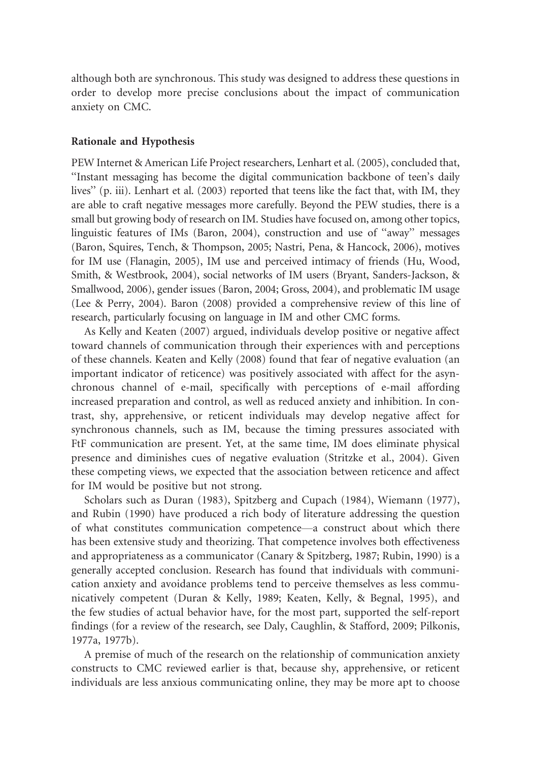although both are synchronous. This study was designed to address these questions in order to develop more precise conclusions about the impact of communication anxiety on CMC.

## Rationale and Hypothesis

PEW Internet & American Life Project researchers, Lenhart et al. (2005), concluded that, ''Instant messaging has become the digital communication backbone of teen's daily lives'' (p. iii). Lenhart et al. (2003) reported that teens like the fact that, with IM, they are able to craft negative messages more carefully. Beyond the PEW studies, there is a small but growing body of research on IM. Studies have focused on, among other topics, linguistic features of IMs (Baron, 2004), construction and use of ''away'' messages (Baron, Squires, Tench, & Thompson, 2005; Nastri, Pena, & Hancock, 2006), motives for IM use (Flanagin, 2005), IM use and perceived intimacy of friends (Hu, Wood, Smith, & Westbrook, 2004), social networks of IM users (Bryant, Sanders-Jackson, & Smallwood, 2006), gender issues (Baron, 2004; Gross, 2004), and problematic IM usage (Lee & Perry, 2004). Baron (2008) provided a comprehensive review of this line of research, particularly focusing on language in IM and other CMC forms.

As Kelly and Keaten (2007) argued, individuals develop positive or negative affect toward channels of communication through their experiences with and perceptions of these channels. Keaten and Kelly (2008) found that fear of negative evaluation (an important indicator of reticence) was positively associated with affect for the asynchronous channel of e-mail, specifically with perceptions of e-mail affording increased preparation and control, as well as reduced anxiety and inhibition. In contrast, shy, apprehensive, or reticent individuals may develop negative affect for synchronous channels, such as IM, because the timing pressures associated with FtF communication are present. Yet, at the same time, IM does eliminate physical presence and diminishes cues of negative evaluation (Stritzke et al., 2004). Given these competing views, we expected that the association between reticence and affect for IM would be positive but not strong.

Scholars such as Duran (1983), Spitzberg and Cupach (1984), Wiemann (1977), and Rubin (1990) have produced a rich body of literature addressing the question of what constitutes communication competence—a construct about which there has been extensive study and theorizing. That competence involves both effectiveness and appropriateness as a communicator (Canary & Spitzberg, 1987; Rubin, 1990) is a generally accepted conclusion. Research has found that individuals with communication anxiety and avoidance problems tend to perceive themselves as less communicatively competent (Duran & Kelly, 1989; Keaten, Kelly, & Begnal, 1995), and the few studies of actual behavior have, for the most part, supported the self-report findings (for a review of the research, see Daly, Caughlin, & Stafford, 2009; Pilkonis, 1977a, 1977b).

A premise of much of the research on the relationship of communication anxiety constructs to CMC reviewed earlier is that, because shy, apprehensive, or reticent individuals are less anxious communicating online, they may be more apt to choose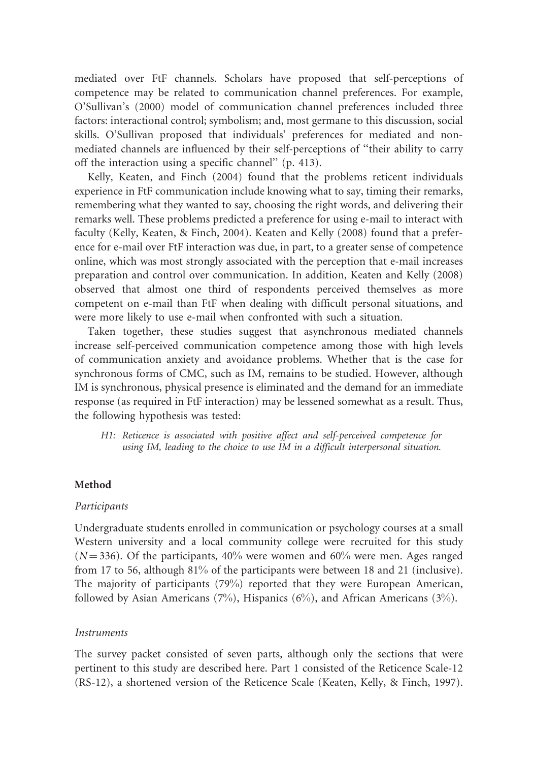mediated over FtF channels. Scholars have proposed that self-perceptions of competence may be related to communication channel preferences. For example, O'Sullivan's (2000) model of communication channel preferences included three factors: interactional control; symbolism; and, most germane to this discussion, social skills. O'Sullivan proposed that individuals' preferences for mediated and nonmediated channels are influenced by their self-perceptions of ''their ability to carry off the interaction using a specific channel'' (p. 413).

Kelly, Keaten, and Finch (2004) found that the problems reticent individuals experience in FtF communication include knowing what to say, timing their remarks, remembering what they wanted to say, choosing the right words, and delivering their remarks well. These problems predicted a preference for using e-mail to interact with faculty (Kelly, Keaten, & Finch, 2004). Keaten and Kelly (2008) found that a preference for e-mail over FtF interaction was due, in part, to a greater sense of competence online, which was most strongly associated with the perception that e-mail increases preparation and control over communication. In addition, Keaten and Kelly (2008) observed that almost one third of respondents perceived themselves as more competent on e-mail than FtF when dealing with difficult personal situations, and were more likely to use e-mail when confronted with such a situation.

Taken together, these studies suggest that asynchronous mediated channels increase self-perceived communication competence among those with high levels of communication anxiety and avoidance problems. Whether that is the case for synchronous forms of CMC, such as IM, remains to be studied. However, although IM is synchronous, physical presence is eliminated and the demand for an immediate response (as required in FtF interaction) may be lessened somewhat as a result. Thus, the following hypothesis was tested:

H1: Reticence is associated with positive affect and self-perceived competence for using IM, leading to the choice to use IM in a difficult interpersonal situation.

## Method

## Participants

Undergraduate students enrolled in communication or psychology courses at a small Western university and a local community college were recruited for this study  $(N = 336)$ . Of the participants, 40% were women and 60% were men. Ages ranged from 17 to 56, although 81% of the participants were between 18 and 21 (inclusive). The majority of participants (79%) reported that they were European American, followed by Asian Americans (7%), Hispanics (6%), and African Americans (3%).

## Instruments

The survey packet consisted of seven parts, although only the sections that were pertinent to this study are described here. Part 1 consisted of the Reticence Scale-12 (RS-12), a shortened version of the Reticence Scale (Keaten, Kelly, & Finch, 1997).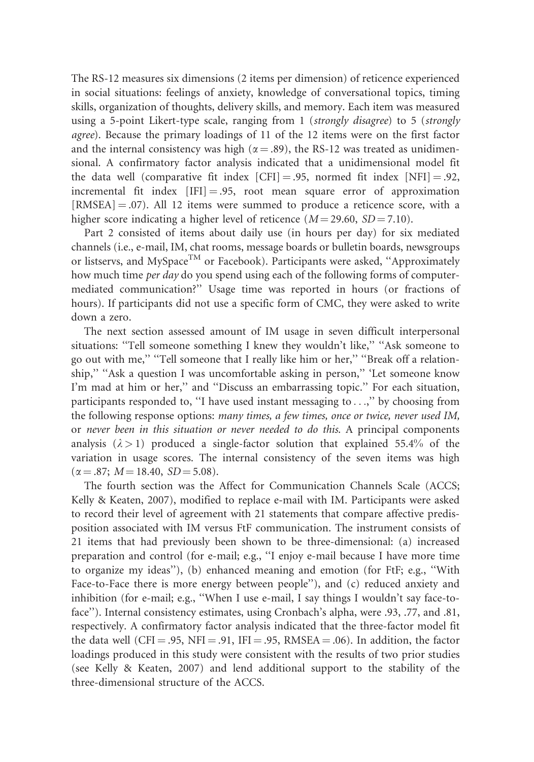The RS-12 measures six dimensions (2 items per dimension) of reticence experienced in social situations: feelings of anxiety, knowledge of conversational topics, timing skills, organization of thoughts, delivery skills, and memory. Each item was measured using a 5-point Likert-type scale, ranging from 1 (strongly disagree) to 5 (strongly agree). Because the primary loadings of 11 of the 12 items were on the first factor and the internal consistency was high ( $\alpha = .89$ ), the RS-12 was treated as unidimensional. A confirmatory factor analysis indicated that a unidimensional model fit the data well (comparative fit index  $[CFI] = .95$ , normed fit index  $[NFI] = .92$ , incremental fit index  $[IF] = .95$ , root mean square error of approximation  $[RMSEA] = .07$ . All 12 items were summed to produce a reticence score, with a higher score indicating a higher level of reticence  $(M = 29.60, SD = 7.10)$ .

Part 2 consisted of items about daily use (in hours per day) for six mediated channels (i.e., e-mail, IM, chat rooms, message boards or bulletin boards, newsgroups or listservs, and MySpace<sup>TM</sup> or Facebook). Participants were asked, "Approximately how much time *per day* do you spend using each of the following forms of computermediated communication?'' Usage time was reported in hours (or fractions of hours). If participants did not use a specific form of CMC, they were asked to write down a zero.

The next section assessed amount of IM usage in seven difficult interpersonal situations: ''Tell someone something I knew they wouldn't like,'' ''Ask someone to go out with me,'' ''Tell someone that I really like him or her,'' ''Break off a relationship,'' ''Ask a question I was uncomfortable asking in person,'' 'Let someone know I'm mad at him or her," and "Discuss an embarrassing topic." For each situation, participants responded to, ''I have used instant messaging to ...,'' by choosing from the following response options: many times, a few times, once or twice, never used IM, or never been in this situation or never needed to do this. A principal components analysis  $(\lambda > 1)$  produced a single-factor solution that explained 55.4% of the variation in usage scores. The internal consistency of the seven items was high  $(\alpha = .87; M = 18.40, SD = 5.08).$ 

The fourth section was the Affect for Communication Channels Scale (ACCS; Kelly & Keaten, 2007), modified to replace e-mail with IM. Participants were asked to record their level of agreement with 21 statements that compare affective predisposition associated with IM versus FtF communication. The instrument consists of 21 items that had previously been shown to be three-dimensional: (a) increased preparation and control (for e-mail; e.g., ''I enjoy e-mail because I have more time to organize my ideas''), (b) enhanced meaning and emotion (for FtF; e.g., ''With Face-to-Face there is more energy between people''), and (c) reduced anxiety and inhibition (for e-mail; e.g., ''When I use e-mail, I say things I wouldn't say face-toface''). Internal consistency estimates, using Cronbach's alpha, were .93, .77, and .81, respectively. A confirmatory factor analysis indicated that the three-factor model fit the data well (CFI = .95, NFI = .91, IFI = .95, RMSEA = .06). In addition, the factor loadings produced in this study were consistent with the results of two prior studies (see Kelly & Keaten, 2007) and lend additional support to the stability of the three-dimensional structure of the ACCS.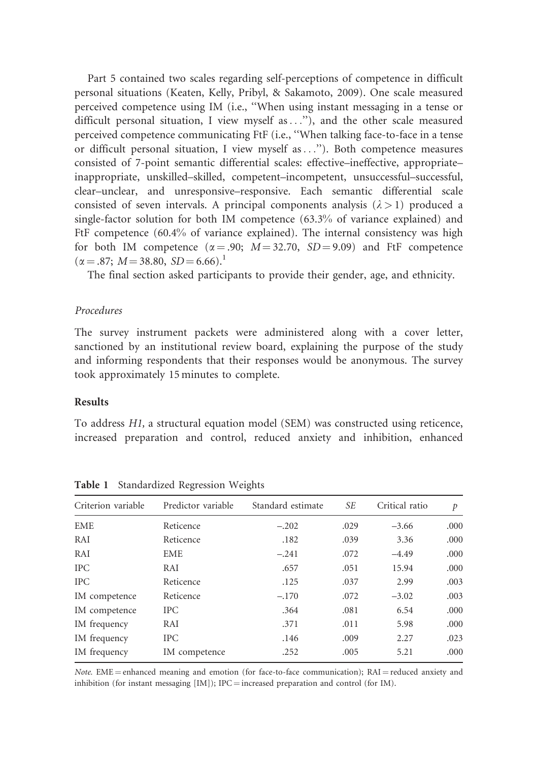Part 5 contained two scales regarding self-perceptions of competence in difficult personal situations (Keaten, Kelly, Pribyl, & Sakamoto, 2009). One scale measured perceived competence using IM (i.e., ''When using instant messaging in a tense or difficult personal situation, I view myself as...''), and the other scale measured perceived competence communicating FtF (i.e., ''When talking face-to-face in a tense or difficult personal situation, I view myself as...''). Both competence measures consisted of 7-point semantic differential scales: effective–ineffective, appropriate– inappropriate, unskilled–skilled, competent–incompetent, unsuccessful–successful, clear–unclear, and unresponsive–responsive. Each semantic differential scale consisted of seven intervals. A principal components analysis  $(\lambda > 1)$  produced a single-factor solution for both IM competence (63.3% of variance explained) and FtF competence (60.4% of variance explained). The internal consistency was high for both IM competence ( $\alpha = .90$ ;  $M = 32.70$ ,  $SD = 9.09$ ) and FtF competence  $(\alpha = .87; M = 38.80, SD = 6.66).$ <sup>1</sup>

The final section asked participants to provide their gender, age, and ethnicity.

## Procedures

The survey instrument packets were administered along with a cover letter, sanctioned by an institutional review board, explaining the purpose of the study and informing respondents that their responses would be anonymous. The survey took approximately 15 minutes to complete.

## Results

To address H1, a structural equation model (SEM) was constructed using reticence, increased preparation and control, reduced anxiety and inhibition, enhanced

| Criterion variable | Predictor variable | Standard estimate | SE   | Critical ratio | $\mathcal{P}$ |
|--------------------|--------------------|-------------------|------|----------------|---------------|
| EME                | Reticence          | $-.202$           | .029 | $-3.66$        | .000          |
| <b>RAI</b>         | Reticence          | .182              | .039 | 3.36           | .000          |
| RAI                | EME                | $-.241$           | .072 | $-4.49$        | .000          |
| <b>IPC</b>         | <b>RAI</b>         | .657              | .051 | 15.94          | .000          |
| <b>IPC</b>         | Reticence          | .125              | .037 | 2.99           | .003          |
| IM competence      | Reticence          | $-.170$           | .072 | $-3.02$        | .003          |
| IM competence      | <b>IPC</b>         | .364              | .081 | 6.54           | .000          |
| IM frequency       | <b>RAI</b>         | .371              | .011 | 5.98           | .000          |
| IM frequency       | <b>IPC</b>         | .146              | .009 | 2.27           | .023          |
| IM frequency       | IM competence      | .252              | .005 | 5.21           | .000          |
|                    |                    |                   |      |                |               |

Table 1 Standardized Regression Weights

Note. EME = enhanced meaning and emotion (for face-to-face communication); RAI = reduced anxiety and inhibition (for instant messaging  $[IM]$ ); IPC = increased preparation and control (for IM).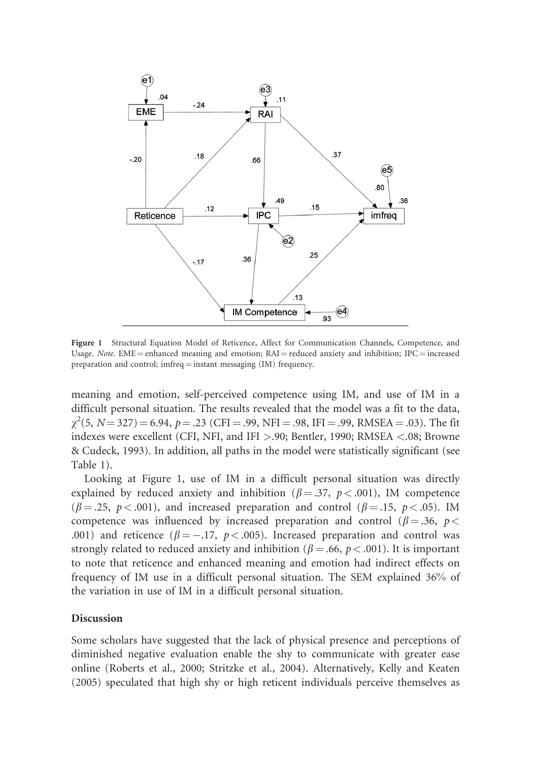

Figure 1 Structural Equation Model of Reticence, Affect for Communication Channels, Competence, and Usage. Note.  $EME =$  enhanced meaning and emotion;  $RAI =$  reduced anxiety and inhibition;  $IPC =$  increased preparation and control; imfreq = instant messaging (IM) frequency.

meaning and emotion, self-perceived competence using IM, and use of IM in a difficult personal situation. The results revealed that the model was a fit to the data,  $\chi^2$ (5, N = 327) = 6.94, p = .23 (CFI = .99, NFI = .98, IFI = .99, RMSEA = .03). The fit indexes were excellent (CFI, NFI, and IFI >.90; Bentler, 1990; RMSEA <.08; Browne & Cudeck, 1993). In addition, all paths in the model were statistically significant (see Table 1).

Looking at Figure 1, use of IM in a difficult personal situation was directly explained by reduced anxiety and inhibition ( $\beta = .37$ ,  $p < .001$ ), IM competence  $(\beta = .25, p < .001)$ , and increased preparation and control  $(\beta = .15, p < .05)$ . IM competence was influenced by increased preparation and control ( $\beta = .36$ ,  $p <$ .001) and reticence ( $\beta = -17$ ,  $p < .005$ ). Increased preparation and control was strongly related to reduced anxiety and inhibition ( $\beta = .66$ ,  $p < .001$ ). It is important to note that reticence and enhanced meaning and emotion had indirect effects on frequency of IM use in a difficult personal situation. The SEM explained 36% of the variation in use of IM in a difficult personal situation.

#### Discussion

Some scholars have suggested that the lack of physical presence and perceptions of diminished negative evaluation enable the shy to communicate with greater ease online (Roberts et al., 2000; Stritzke et al., 2004). Alternatively, Kelly and Keaten (2005) speculated that high shy or high reticent individuals perceive themselves as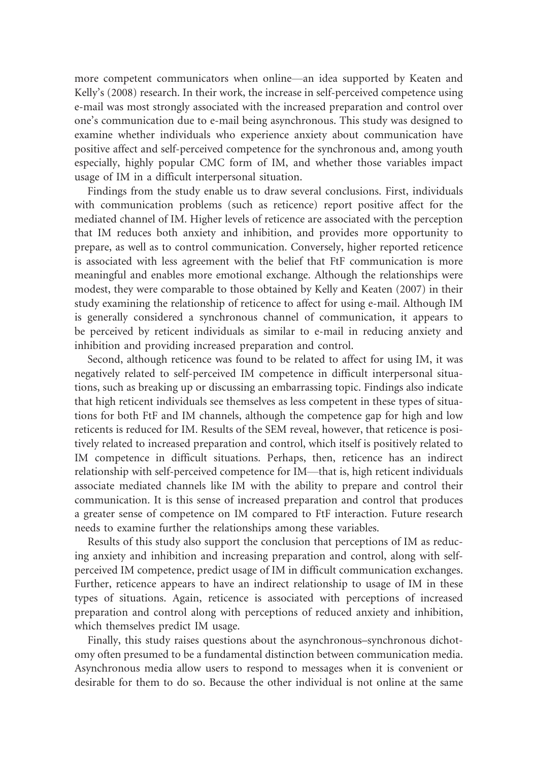more competent communicators when online—an idea supported by Keaten and Kelly's (2008) research. In their work, the increase in self-perceived competence using e-mail was most strongly associated with the increased preparation and control over one's communication due to e-mail being asynchronous. This study was designed to examine whether individuals who experience anxiety about communication have positive affect and self-perceived competence for the synchronous and, among youth especially, highly popular CMC form of IM, and whether those variables impact usage of IM in a difficult interpersonal situation.

Findings from the study enable us to draw several conclusions. First, individuals with communication problems (such as reticence) report positive affect for the mediated channel of IM. Higher levels of reticence are associated with the perception that IM reduces both anxiety and inhibition, and provides more opportunity to prepare, as well as to control communication. Conversely, higher reported reticence is associated with less agreement with the belief that FtF communication is more meaningful and enables more emotional exchange. Although the relationships were modest, they were comparable to those obtained by Kelly and Keaten (2007) in their study examining the relationship of reticence to affect for using e-mail. Although IM is generally considered a synchronous channel of communication, it appears to be perceived by reticent individuals as similar to e-mail in reducing anxiety and inhibition and providing increased preparation and control.

Second, although reticence was found to be related to affect for using IM, it was negatively related to self-perceived IM competence in difficult interpersonal situations, such as breaking up or discussing an embarrassing topic. Findings also indicate that high reticent individuals see themselves as less competent in these types of situations for both FtF and IM channels, although the competence gap for high and low reticents is reduced for IM. Results of the SEM reveal, however, that reticence is positively related to increased preparation and control, which itself is positively related to IM competence in difficult situations. Perhaps, then, reticence has an indirect relationship with self-perceived competence for IM—that is, high reticent individuals associate mediated channels like IM with the ability to prepare and control their communication. It is this sense of increased preparation and control that produces a greater sense of competence on IM compared to FtF interaction. Future research needs to examine further the relationships among these variables.

Results of this study also support the conclusion that perceptions of IM as reducing anxiety and inhibition and increasing preparation and control, along with selfperceived IM competence, predict usage of IM in difficult communication exchanges. Further, reticence appears to have an indirect relationship to usage of IM in these types of situations. Again, reticence is associated with perceptions of increased preparation and control along with perceptions of reduced anxiety and inhibition, which themselves predict IM usage.

Finally, this study raises questions about the asynchronous–synchronous dichotomy often presumed to be a fundamental distinction between communication media. Asynchronous media allow users to respond to messages when it is convenient or desirable for them to do so. Because the other individual is not online at the same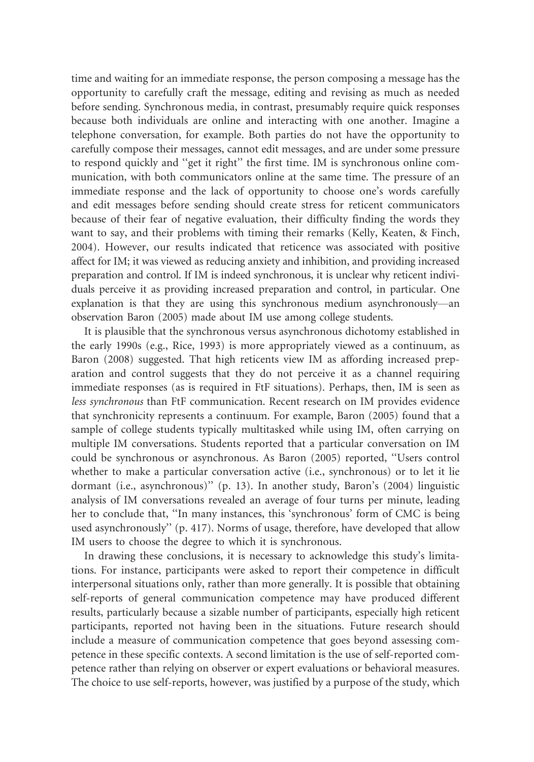time and waiting for an immediate response, the person composing a message has the opportunity to carefully craft the message, editing and revising as much as needed before sending. Synchronous media, in contrast, presumably require quick responses because both individuals are online and interacting with one another. Imagine a telephone conversation, for example. Both parties do not have the opportunity to carefully compose their messages, cannot edit messages, and are under some pressure to respond quickly and ''get it right'' the first time. IM is synchronous online communication, with both communicators online at the same time. The pressure of an immediate response and the lack of opportunity to choose one's words carefully and edit messages before sending should create stress for reticent communicators because of their fear of negative evaluation, their difficulty finding the words they want to say, and their problems with timing their remarks (Kelly, Keaten, & Finch, 2004). However, our results indicated that reticence was associated with positive affect for IM; it was viewed as reducing anxiety and inhibition, and providing increased preparation and control. If IM is indeed synchronous, it is unclear why reticent individuals perceive it as providing increased preparation and control, in particular. One explanation is that they are using this synchronous medium asynchronously—an observation Baron (2005) made about IM use among college students.

It is plausible that the synchronous versus asynchronous dichotomy established in the early 1990s (e.g., Rice, 1993) is more appropriately viewed as a continuum, as Baron (2008) suggested. That high reticents view IM as affording increased preparation and control suggests that they do not perceive it as a channel requiring immediate responses (as is required in FtF situations). Perhaps, then, IM is seen as less synchronous than FtF communication. Recent research on IM provides evidence that synchronicity represents a continuum. For example, Baron (2005) found that a sample of college students typically multitasked while using IM, often carrying on multiple IM conversations. Students reported that a particular conversation on IM could be synchronous or asynchronous. As Baron (2005) reported, ''Users control whether to make a particular conversation active (i.e., synchronous) or to let it lie dormant (i.e., asynchronous)'' (p. 13). In another study, Baron's (2004) linguistic analysis of IM conversations revealed an average of four turns per minute, leading her to conclude that, ''In many instances, this 'synchronous' form of CMC is being used asynchronously'' (p. 417). Norms of usage, therefore, have developed that allow IM users to choose the degree to which it is synchronous.

In drawing these conclusions, it is necessary to acknowledge this study's limitations. For instance, participants were asked to report their competence in difficult interpersonal situations only, rather than more generally. It is possible that obtaining self-reports of general communication competence may have produced different results, particularly because a sizable number of participants, especially high reticent participants, reported not having been in the situations. Future research should include a measure of communication competence that goes beyond assessing competence in these specific contexts. A second limitation is the use of self-reported competence rather than relying on observer or expert evaluations or behavioral measures. The choice to use self-reports, however, was justified by a purpose of the study, which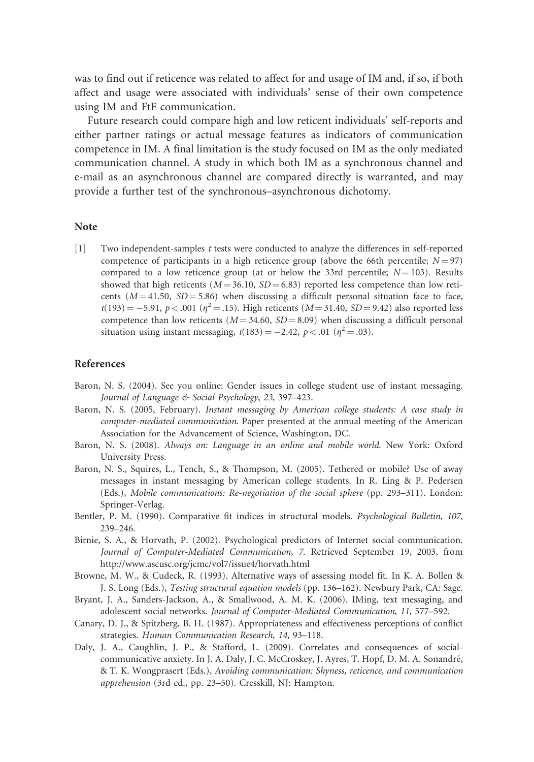was to find out if reticence was related to affect for and usage of IM and, if so, if both affect and usage were associated with individuals' sense of their own competence using IM and FtF communication.

Future research could compare high and low reticent individuals' self-reports and either partner ratings or actual message features as indicators of communication competence in IM. A final limitation is the study focused on IM as the only mediated communication channel. A study in which both IM as a synchronous channel and e-mail as an asynchronous channel are compared directly is warranted, and may provide a further test of the synchronous–asynchronous dichotomy.

## Note

[1] Two independent-samples t tests were conducted to analyze the differences in self-reported competence of participants in a high reticence group (above the 66th percentile;  $N=97$ ) compared to a low reticence group (at or below the 33rd percentile;  $N = 103$ ). Results showed that high reticents ( $M = 36.10$ ,  $SD = 6.83$ ) reported less competence than low reticents ( $M = 41.50$ ,  $SD = 5.86$ ) when discussing a difficult personal situation face to face,  $t(193) = -5.91$ ,  $p < .001$  ( $\eta^2 = .15$ ). High reticents ( $M = 31.40$ ,  $SD = 9.42$ ) also reported less competence than low reticents ( $M = 34.60$ ,  $SD = 8.09$ ) when discussing a difficult personal situation using instant messaging,  $t(183) = -2.42$ ,  $p < .01$  ( $\eta^2 = .03$ ).

#### References

- Baron, N. S. (2004). See you online: Gender issues in college student use of instant messaging. Journal of Language & Social Psychology, 23, 397–423.
- Baron, N. S. (2005, February). Instant messaging by American college students: A case study in computer-mediated communication. Paper presented at the annual meeting of the American Association for the Advancement of Science, Washington, DC.
- Baron, N. S. (2008). Always on: Language in an online and mobile world. New York: Oxford University Press.
- Baron, N. S., Squires, L., Tench, S., & Thompson, M. (2005). Tethered or mobile? Use of away messages in instant messaging by American college students. In R. Ling & P. Pedersen (Eds.), Mobile communications: Re-negotiation of the social sphere (pp. 293–311). London: Springer-Verlag.
- Bentler, P. M. (1990). Comparative fit indices in structural models. Psychological Bulletin, 107, 239–246.
- Birnie, S. A., & Horvath, P. (2002). Psychological predictors of Internet social communication. Journal of Computer-Mediated Communication, 7. Retrieved September 19, 2003, from http://www.ascusc.org/jcmc/vol7/issue4/horvath.html
- Browne, M. W., & Cudeck, R. (1993). Alternative ways of assessing model fit. In K. A. Bollen & J. S. Long (Eds.), Testing structural equation models (pp. 136–162). Newbury Park, CA: Sage.
- Bryant, J. A., Sanders-Jackson, A., & Smallwood, A. M. K. (2006). IMing, text messaging, and adolescent social networks. Journal of Computer-Mediated Communication, 11, 577–592.
- Canary, D. J., & Spitzberg, B. H. (1987). Appropriateness and effectiveness perceptions of conflict strategies. Human Communication Research, 14, 93–118.
- Daly, J. A., Caughlin, J. P., & Stafford, L. (2009). Correlates and consequences of socialcommunicative anxiety. In J. A. Daly, J. C. McCroskey, J. Ayres, T. Hopf, D. M. A. Sonandré, & T. K. Wongprasert (Eds.), Avoiding communication: Shyness, reticence, and communication apprehension (3rd ed., pp. 23–50). Cresskill, NJ: Hampton.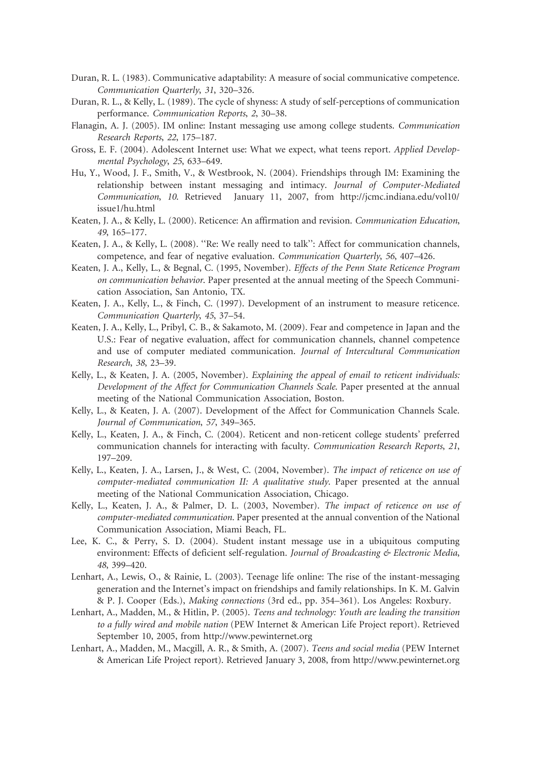- Duran, R. L. (1983). Communicative adaptability: A measure of social communicative competence. Communication Quarterly, 31, 320–326.
- Duran, R. L., & Kelly, L. (1989). The cycle of shyness: A study of self-perceptions of communication performance. Communication Reports, 2, 30–38.
- Flanagin, A. J. (2005). IM online: Instant messaging use among college students. Communication Research Reports, 22, 175–187.
- Gross, E. F. (2004). Adolescent Internet use: What we expect, what teens report. Applied Developmental Psychology, 25, 633–649.
- Hu, Y., Wood, J. F., Smith, V., & Westbrook, N. (2004). Friendships through IM: Examining the relationship between instant messaging and intimacy. Journal of Computer-Mediated Communication, 10. Retrieved January 11, 2007, from http://jcmc.indiana.edu/vol10/ issue1/hu.html
- Keaten, J. A., & Kelly, L. (2000). Reticence: An affirmation and revision. Communication Education, 49, 165–177.
- Keaten, J. A., & Kelly, L. (2008). ''Re: We really need to talk'': Affect for communication channels, competence, and fear of negative evaluation. Communication Quarterly, 56, 407–426.
- Keaten, J. A., Kelly, L., & Begnal, C. (1995, November). Effects of the Penn State Reticence Program on communication behavior. Paper presented at the annual meeting of the Speech Communication Association, San Antonio, TX.
- Keaten, J. A., Kelly, L., & Finch, C. (1997). Development of an instrument to measure reticence. Communication Quarterly, 45, 37–54.
- Keaten, J. A., Kelly, L., Pribyl, C. B., & Sakamoto, M. (2009). Fear and competence in Japan and the U.S.: Fear of negative evaluation, affect for communication channels, channel competence and use of computer mediated communication. Journal of Intercultural Communication Research, 38, 23–39.
- Kelly, L., & Keaten, J. A. (2005, November). Explaining the appeal of email to reticent individuals: Development of the Affect for Communication Channels Scale. Paper presented at the annual meeting of the National Communication Association, Boston.
- Kelly, L., & Keaten, J. A. (2007). Development of the Affect for Communication Channels Scale. Journal of Communication, 57, 349–365.
- Kelly, L., Keaten, J. A., & Finch, C. (2004). Reticent and non-reticent college students' preferred communication channels for interacting with faculty. Communication Research Reports, 21, 197–209.
- Kelly, L., Keaten, J. A., Larsen, J., & West, C. (2004, November). The impact of reticence on use of computer-mediated communication II: A qualitative study. Paper presented at the annual meeting of the National Communication Association, Chicago.
- Kelly, L., Keaten, J. A., & Palmer, D. L. (2003, November). The impact of reticence on use of computer-mediated communication. Paper presented at the annual convention of the National Communication Association, Miami Beach, FL.
- Lee, K. C., & Perry, S. D. (2004). Student instant message use in a ubiquitous computing environment: Effects of deficient self-regulation. Journal of Broadcasting & Electronic Media, 48, 399–420.
- Lenhart, A., Lewis, O., & Rainie, L. (2003). Teenage life online: The rise of the instant-messaging generation and the Internet's impact on friendships and family relationships. In K. M. Galvin & P. J. Cooper (Eds.), Making connections (3rd ed., pp. 354–361). Los Angeles: Roxbury.
- Lenhart, A., Madden, M., & Hitlin, P. (2005). Teens and technology: Youth are leading the transition to a fully wired and mobile nation (PEW Internet & American Life Project report). Retrieved September 10, 2005, from http://www.pewinternet.org
- Lenhart, A., Madden, M., Macgill, A. R., & Smith, A. (2007). Teens and social media (PEW Internet & American Life Project report). Retrieved January 3, 2008, from http://www.pewinternet.org